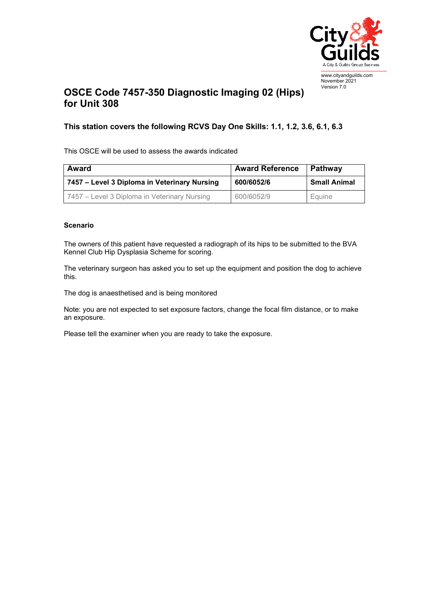

## **OSCE Code 7457-350 Diagnostic Imaging 02 (Hips) for Unit 308**  November 2021 Version 7.0

## **This station covers the following RCVS Day One Skills: 1.1, 1.2, 3.6, 6.1, 6.3**

This OSCE will be used to assess the awards indicated

| Award                                        | <b>Award Reference</b> | Pathway             |
|----------------------------------------------|------------------------|---------------------|
| 7457 – Level 3 Diploma in Veterinary Nursing | 600/6052/6             | <b>Small Animal</b> |
| 7457 – Level 3 Diploma in Veterinary Nursing | 600/6052/9             | Equine              |

## **Scenario**

The owners of this patient have requested a radiograph of its hips to be submitted to the BVA Kennel Club Hip Dysplasia Scheme for scoring.

The veterinary surgeon has asked you to set up the equipment and position the dog to achieve this.

The dog is anaesthetised and is being monitored

Note: you are not expected to set exposure factors, change the focal film distance, or to make an exposure.

Please tell the examiner when you are ready to take the exposure.